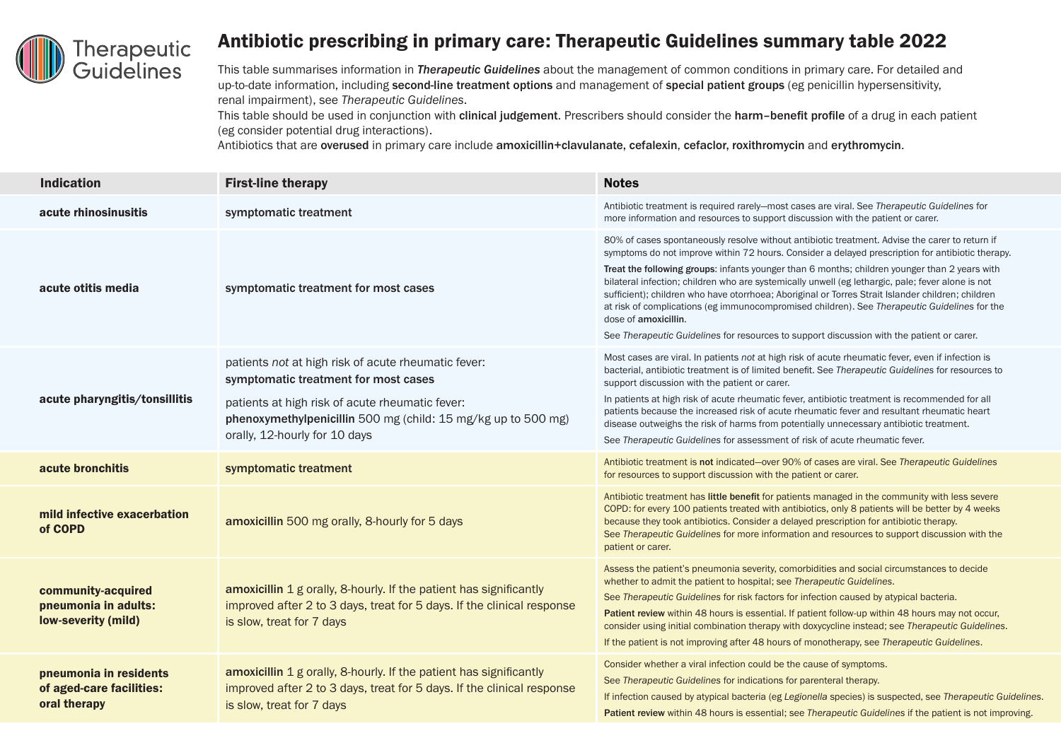

## Antibiotic prescribing in primary care: Therapeutic Guidelines summary table 2022

This table summarises information in *Therapeutic Guidelines* about the management of common conditions in primary care. For detailed and up-to-date information, including second-line treatment options and management of special patient groups (eg penicillin hypersensitivity, renal impairment), see *Therapeutic Guidelines*.

This table should be used in conjunction with clinical judgement. Prescribers should consider the harm-benefit profile of a drug in each patient (eg consider potential drug interactions).

Antibiotics that are overused in primary care include amoxicillin+clavulanate, cefalexin, cefaclor, roxithromycin and erythromycin.

| <b>Indication</b>                                                  | <b>First-line therapy</b>                                                                                                                                                                                                                        | <b>Notes</b>                                                                                                                                                                                                                                                                                                                                                                                                                                                                                                                                                                                                                                                                                                                       |
|--------------------------------------------------------------------|--------------------------------------------------------------------------------------------------------------------------------------------------------------------------------------------------------------------------------------------------|------------------------------------------------------------------------------------------------------------------------------------------------------------------------------------------------------------------------------------------------------------------------------------------------------------------------------------------------------------------------------------------------------------------------------------------------------------------------------------------------------------------------------------------------------------------------------------------------------------------------------------------------------------------------------------------------------------------------------------|
| acute rhinosinusitis                                               | symptomatic treatment                                                                                                                                                                                                                            | Antibiotic treatment is required rarely-most cases are viral. See Therapeutic Guidelines for<br>more information and resources to support discussion with the patient or carer.                                                                                                                                                                                                                                                                                                                                                                                                                                                                                                                                                    |
| acute otitis media                                                 | symptomatic treatment for most cases                                                                                                                                                                                                             | 80% of cases spontaneously resolve without antibiotic treatment. Advise the carer to return if<br>symptoms do not improve within 72 hours. Consider a delayed prescription for antibiotic therapy.<br>Treat the following groups: infants younger than 6 months; children younger than 2 years with<br>bilateral infection; children who are systemically unwell (eg lethargic, pale; fever alone is not<br>sufficient); children who have otorrhoea; Aboriginal or Torres Strait Islander children; children<br>at risk of complications (eg immunocompromised children). See Therapeutic Guidelines for the<br>dose of amoxicillin.<br>See Therapeutic Guidelines for resources to support discussion with the patient or carer. |
| acute pharyngitis/tonsillitis                                      | patients not at high risk of acute rheumatic fever:<br>symptomatic treatment for most cases<br>patients at high risk of acute rheumatic fever:<br>phenoxymethylpenicillin 500 mg (child: 15 mg/kg up to 500 mg)<br>orally, 12-hourly for 10 days | Most cases are viral. In patients not at high risk of acute rheumatic fever, even if infection is<br>bacterial, antibiotic treatment is of limited benefit. See Therapeutic Guidelines for resources to<br>support discussion with the patient or carer.<br>In patients at high risk of acute rheumatic fever, antibiotic treatment is recommended for all<br>patients because the increased risk of acute rheumatic fever and resultant rheumatic heart<br>disease outweighs the risk of harms from potentially unnecessary antibiotic treatment.<br>See Therapeutic Guidelines for assessment of risk of acute rheumatic fever.                                                                                                  |
| acute bronchitis                                                   | symptomatic treatment                                                                                                                                                                                                                            | Antibiotic treatment is not indicated-over 90% of cases are viral. See Therapeutic Guidelines<br>for resources to support discussion with the patient or carer.                                                                                                                                                                                                                                                                                                                                                                                                                                                                                                                                                                    |
| mild infective exacerbation<br>of COPD                             | amoxicillin 500 mg orally, 8-hourly for 5 days                                                                                                                                                                                                   | Antibiotic treatment has little benefit for patients managed in the community with less severe<br>COPD: for every 100 patients treated with antibiotics, only 8 patients will be better by 4 weeks<br>because they took antibiotics. Consider a delayed prescription for antibiotic therapy.<br>See Therapeutic Guidelines for more information and resources to support discussion with the<br>patient or carer.                                                                                                                                                                                                                                                                                                                  |
| community-acquired<br>pneumonia in adults:<br>low-severity (mild)  | amoxicillin 1 g orally, 8-hourly. If the patient has significantly<br>improved after 2 to 3 days, treat for 5 days. If the clinical response<br>is slow, treat for 7 days                                                                        | Assess the patient's pneumonia severity, comorbidities and social circumstances to decide<br>whether to admit the patient to hospital; see Therapeutic Guidelines.<br>See Therapeutic Guidelines for risk factors for infection caused by atypical bacteria.<br>Patient review within 48 hours is essential. If patient follow-up within 48 hours may not occur,<br>consider using initial combination therapy with doxycycline instead; see Therapeutic Guidelines.<br>If the patient is not improving after 48 hours of monotherapy, see Therapeutic Guidelines.                                                                                                                                                                 |
| pneumonia in residents<br>of aged-care facilities:<br>oral therapy | amoxicillin 1 g orally, 8-hourly. If the patient has significantly<br>improved after 2 to 3 days, treat for 5 days. If the clinical response<br>is slow, treat for 7 days                                                                        | Consider whether a viral infection could be the cause of symptoms.<br>See Therapeutic Guidelines for indications for parenteral therapy.<br>If infection caused by atypical bacteria (eg Legionella species) is suspected, see Therapeutic Guidelines.<br>Patient review within 48 hours is essential; see Therapeutic Guidelines if the patient is not improving.                                                                                                                                                                                                                                                                                                                                                                 |